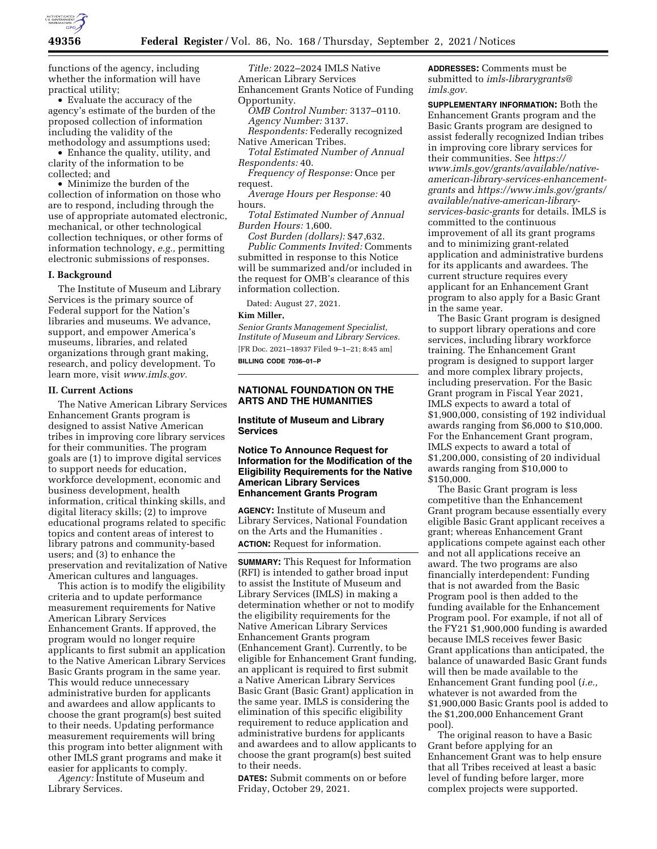

functions of the agency, including whether the information will have practical utility;

• Evaluate the accuracy of the agency's estimate of the burden of the proposed collection of information including the validity of the methodology and assumptions used;

• Enhance the quality, utility, and clarity of the information to be collected; and

• Minimize the burden of the collection of information on those who are to respond, including through the use of appropriate automated electronic, mechanical, or other technological collection techniques, or other forms of information technology, *e.g.,* permitting electronic submissions of responses.

### **I. Background**

The Institute of Museum and Library Services is the primary source of Federal support for the Nation's libraries and museums. We advance, support, and empower America's museums, libraries, and related organizations through grant making, research, and policy development. To learn more, visit *[www.imls.gov.](http://www.imls.gov)* 

## **II. Current Actions**

The Native American Library Services Enhancement Grants program is designed to assist Native American tribes in improving core library services for their communities. The program goals are (1) to improve digital services to support needs for education, workforce development, economic and business development, health information, critical thinking skills, and digital literacy skills; (2) to improve educational programs related to specific topics and content areas of interest to library patrons and community-based users; and (3) to enhance the preservation and revitalization of Native American cultures and languages.

This action is to modify the eligibility criteria and to update performance measurement requirements for Native American Library Services Enhancement Grants. If approved, the program would no longer require applicants to first submit an application to the Native American Library Services Basic Grants program in the same year. This would reduce unnecessary administrative burden for applicants and awardees and allow applicants to choose the grant program(s) best suited to their needs. Updating performance measurement requirements will bring this program into better alignment with other IMLS grant programs and make it easier for applicants to comply.

*Agency:* Institute of Museum and Library Services.

*Title:* 2022–2024 IMLS Native American Library Services Enhancement Grants Notice of Funding Opportunity.

- *OMB Control Number:* 3137–0110. *Agency Number:* 3137.
- *Respondents:* Federally recognized Native American Tribes.
- *Total Estimated Number of Annual Respondents:* 40.
- *Frequency of Response:* Once per request.
- *Average Hours per Response:* 40 hours.
- *Total Estimated Number of Annual Burden Hours:* 1,600.

*Cost Burden (dollars):* \$47,632. *Public Comments Invited:* Comments submitted in response to this Notice will be summarized and/or included in the request for OMB's clearance of this information collection.

Dated: August 27, 2021.

### **Kim Miller,**

*Senior Grants Management Specialist, Institute of Museum and Library Services.*  [FR Doc. 2021–18937 Filed 9–1–21; 8:45 am] **BILLING CODE 7036–01–P** 

## **NATIONAL FOUNDATION ON THE ARTS AND THE HUMANITIES**

### **Institute of Museum and Library Services**

## **Notice To Announce Request for Information for the Modification of the Eligibility Requirements for the Native American Library Services Enhancement Grants Program**

**AGENCY:** Institute of Museum and Library Services, National Foundation on the Arts and the Humanities . **ACTION:** Request for information.

**SUMMARY:** This Request for Information (RFI) is intended to gather broad input to assist the Institute of Museum and Library Services (IMLS) in making a determination whether or not to modify the eligibility requirements for the Native American Library Services Enhancement Grants program (Enhancement Grant). Currently, to be eligible for Enhancement Grant funding, an applicant is required to first submit a Native American Library Services Basic Grant (Basic Grant) application in the same year. IMLS is considering the elimination of this specific eligibility requirement to reduce application and administrative burdens for applicants and awardees and to allow applicants to choose the grant program(s) best suited to their needs.

**DATES:** Submit comments on or before Friday, October 29, 2021.

**ADDRESSES:** Comments must be submitted to *[imls-librarygrants@](mailto:imls-librarygrants@imls.gov) [imls.gov.](mailto:imls-librarygrants@imls.gov)* 

**SUPPLEMENTARY INFORMATION:** Both the Enhancement Grants program and the Basic Grants program are designed to assist federally recognized Indian tribes in improving core library services for their communities. See *[https://](https://www.imls.gov/grants/available/native-american-library-services-enhancement-grants) [www.imls.gov/grants/available/native](https://www.imls.gov/grants/available/native-american-library-services-enhancement-grants)[american-library-services-enhancement](https://www.imls.gov/grants/available/native-american-library-services-enhancement-grants)[grants](https://www.imls.gov/grants/available/native-american-library-services-enhancement-grants)* and *[https://www.imls.gov/grants/](https://www.imls.gov/grants/available/native-american-library-services-basic-grants) [available/native-american-library](https://www.imls.gov/grants/available/native-american-library-services-basic-grants)[services-basic-grants](https://www.imls.gov/grants/available/native-american-library-services-basic-grants)* for details. IMLS is committed to the continuous improvement of all its grant programs and to minimizing grant-related application and administrative burdens for its applicants and awardees. The current structure requires every applicant for an Enhancement Grant program to also apply for a Basic Grant in the same year.

The Basic Grant program is designed to support library operations and core services, including library workforce training. The Enhancement Grant program is designed to support larger and more complex library projects, including preservation. For the Basic Grant program in Fiscal Year 2021, IMLS expects to award a total of \$1,900,000, consisting of 192 individual awards ranging from \$6,000 to \$10,000. For the Enhancement Grant program, IMLS expects to award a total of \$1,200,000, consisting of 20 individual awards ranging from \$10,000 to \$150,000.

The Basic Grant program is less competitive than the Enhancement Grant program because essentially every eligible Basic Grant applicant receives a grant; whereas Enhancement Grant applications compete against each other and not all applications receive an award. The two programs are also financially interdependent: Funding that is not awarded from the Basic Program pool is then added to the funding available for the Enhancement Program pool. For example, if not all of the FY21 \$1,900,000 funding is awarded because IMLS receives fewer Basic Grant applications than anticipated, the balance of unawarded Basic Grant funds will then be made available to the Enhancement Grant funding pool (*i.e.,*  whatever is not awarded from the \$1,900,000 Basic Grants pool is added to the \$1,200,000 Enhancement Grant pool).

The original reason to have a Basic Grant before applying for an Enhancement Grant was to help ensure that all Tribes received at least a basic level of funding before larger, more complex projects were supported.